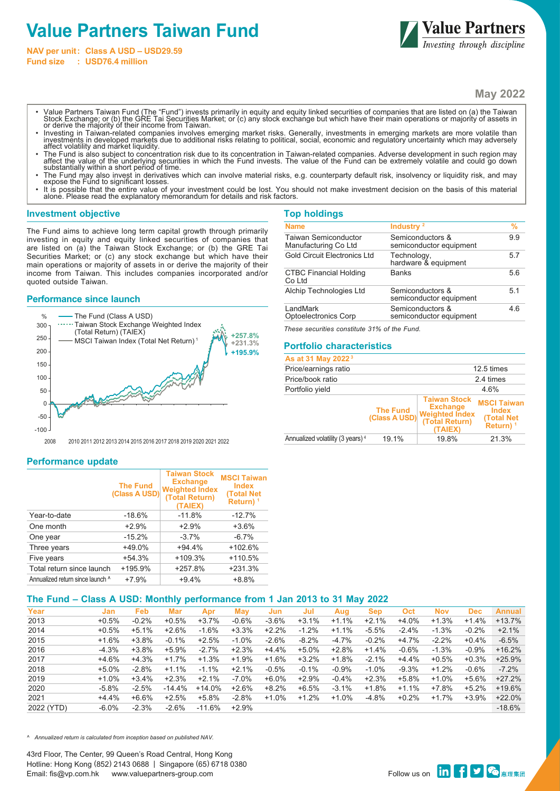# **Value Partners Taiwan Fund**

**NAV per unit: Class A USD – USD29.59 Fund size : USD76.4 million**



**May 2022**

- Value Partners Taiwan Fund (The "Fund") invests primarily in equity and equity linked securities of companies that are listed on (a) the Taiwan<br>Stock Exchange; or (b) the GRE Tai Securities Market; or (c) any stock exchang or derive the majority of their income from Taiwan.
- Investing in Taiwan-related companies involves emerging market risks. Generally, investments in emerging markets are more volatile than<br>investments in developed markets due to additional risks relating to political, social affect volatility and market liquidity.
- The Fund is also subject to concentration risk due to its concentration in Taiwan-related companies. Adverse development in such region may<br>affect the value of the underlying securities in which the Fund invests. The val
- The Fund may also invest in derivatives which can involve material risks, e.g. counterparty default risk, insolvency or liquidity risk, and may expose the Fund to significant losses.
- It is possible that the entire value of your investment could be lost. You should not make investment decision on the basis of this material alone. Please read the explanatory memorandum for details and risk factors.

#### **Investment objective**

The Fund aims to achieve long term capital growth through primarily investing in equity and equity linked securities of companies that are listed on (a) the Taiwan Stock Exchange; or (b) the GRE Tai Securities Market; or (c) any stock exchange but which have their main operations or majority of assets in or derive the majority of their income from Taiwan. This includes companies incorporated and/or quoted outside Taiwan.

#### **Performance since launch**



| <b>Top holdings</b>                                 |                                             |                |
|-----------------------------------------------------|---------------------------------------------|----------------|
| <b>Name</b>                                         | Industry <sup>2</sup>                       | %              |
| <b>Taiwan Semiconductor</b><br>Manufacturing Co Ltd | Semiconductors &<br>semiconductor equipment | 9.9            |
| <b>Gold Circuit Electronics Ltd</b>                 | Technology,<br>hardware & equipment         | 57             |
| <b>CTBC Financial Holding</b><br>Co Ltd             | <b>Banks</b>                                | 5.6            |
| Alchip Technologies Ltd                             | Semiconductors &<br>semiconductor equipment | 5 <sub>1</sub> |
| LandMark<br><b>Optoelectronics Corp</b>             | Semiconductors &<br>semiconductor equipment | 46             |

*These securities constitute 31% of the Fund.*

## **Portfolio characteristics**

| As at 31 May 2022 <sup>3</sup>               |                                  |                                                                                              |                                                                         |
|----------------------------------------------|----------------------------------|----------------------------------------------------------------------------------------------|-------------------------------------------------------------------------|
| Price/earnings ratio                         |                                  |                                                                                              | $12.5 \text{ times}$                                                    |
| Price/book ratio                             |                                  |                                                                                              | 2.4 times                                                               |
| Portfolio yield                              |                                  |                                                                                              | 4.6%                                                                    |
|                                              | <b>The Fund</b><br>(Class A USD) | <b>Taiwan Stock</b><br><b>Exchange</b><br><b>Weighted Index</b><br>(Total Return)<br>(TAIEX) | <b>MSCI Taiwan</b><br><b>Index</b><br><b>(Total Net)</b><br>Return) $1$ |
| Annualized volatility (3 years) <sup>4</sup> | 19.1%                            | 19.8%                                                                                        | 21.3%                                                                   |

2008 2010 2011 2012 2013 2014 2015 2016 2017 2018 2019 2020 2021 2022

#### **Performance update**

|                                  | <b>The Fund</b><br>(Class A USD) | <b>Taiwan Stock</b><br><b>Exchange</b><br><b>Weighted Index</b><br>(Total Return)<br>(TAIEX) | <b>MSCI Taiwan</b><br><b>Index</b><br><b>(Total Net)</b><br>Return) <sup>1</sup> |
|----------------------------------|----------------------------------|----------------------------------------------------------------------------------------------|----------------------------------------------------------------------------------|
| Year-to-date                     | $-18.6%$                         | $-11.8%$                                                                                     | $-12.7%$                                                                         |
| One month                        | $+2.9%$                          | $+2.9%$                                                                                      | $+3.6%$                                                                          |
| One year                         | $-15.2%$                         | $-3.7%$                                                                                      | $-6.7\%$                                                                         |
| Three years                      | +49.0%                           | $+94.4%$                                                                                     | $+102.6%$                                                                        |
| Five years                       | $+54.3%$                         | $+109.3%$                                                                                    | $+110.5%$                                                                        |
| Total return since launch        | +195.9%                          | $+257.8%$                                                                                    | $+231.3%$                                                                        |
| Annualized return since launch ^ | $+7.9%$                          | $+9.4%$                                                                                      | $+8.8%$                                                                          |

# **The Fund – Class A USD: Monthly performance from 1 Jan 2013 to 31 May 2022**

| Year       | Jan      | Feb     | Mar      | Apr      | Mav      | Jun     | Jul      | Aug     | <b>Sep</b> | Oct     | <b>Nov</b> | <b>Dec</b> | <b>Annual</b> |
|------------|----------|---------|----------|----------|----------|---------|----------|---------|------------|---------|------------|------------|---------------|
| 2013       | $+0.5%$  | $-0.2%$ | $+0.5%$  | $+3.7%$  | $-0.6%$  | $-3.6%$ | $+3.1%$  | $+1.1%$ | $+2.1%$    | $+4.0%$ | $+1.3%$    | $+1.4%$    | $+13.7%$      |
| 2014       | $+0.5%$  | $+5.1%$ | $+2.6%$  | $-1.6%$  | $+3.3%$  | $+2.2%$ | $-1.2%$  | $+1.1%$ | $-5.5%$    | $-2.4%$ | $-1.3%$    | $-0.2%$    | $+2.1%$       |
| 2015       | $+1.6%$  | $+3.8%$ | $-0.1%$  | $+2.5%$  | $-1.0\%$ | $-2.6%$ | $-8.2%$  | $-4.7%$ | $-0.2%$    | $+4.7%$ | $-2.2%$    | $+0.4%$    | $-6.5%$       |
| 2016       | $-4.3%$  | $+3.8%$ | $+5.9%$  | $-2.7%$  | $+2.3%$  | $+4.4%$ | $+5.0\%$ | $+2.8%$ | $+1.4%$    | $-0.6%$ | $-1.3%$    | $-0.9%$    | $+16.2%$      |
| 2017       | $+4.6%$  | $+4.3%$ | $+1.7%$  | $+1.3%$  | $+1.9%$  | $+1.6%$ | $+3.2%$  | $+1.8%$ | $-2.1%$    | $+4.4%$ | $+0.5%$    | $+0.3%$    | $+25.9%$      |
| 2018       | $+5.0%$  | $-2.8%$ | $+1.1%$  | $-1.1%$  | $+2.1%$  | $-0.5%$ | $-0.1%$  | $-0.9%$ | $-1.0\%$   | $-9.3%$ | $+1.2%$    | $-0.6%$    | $-7.2%$       |
| 2019       | $+1.0%$  | $+3.4%$ | $+2.3%$  | $+2.1%$  | $-7.0\%$ | $+6.0%$ | $+2.9%$  | $-0.4%$ | $+2.3%$    | +5.8%   | $+1.0%$    | $+5.6%$    | $+27.2%$      |
| 2020       | $-5.8%$  | $-2.5%$ | $-14.4%$ | $+14.0%$ | $+2.6%$  | $+8.2%$ | $+6.5%$  | $-3.1%$ | $+1.8%$    | $+1.1%$ | +7.8%      | $+5.2%$    | $+19.6%$      |
| 2021       | $+4.4%$  | $+6.6%$ | $+2.5%$  | $+5.8%$  | $-2.8%$  | $+1.0%$ | $+1.2%$  | $+1.0%$ | $-4.8%$    | $+0.2%$ | $+1.7%$    | $+3.9%$    | $+22.0%$      |
| 2022 (YTD) | $-6.0\%$ | $-2.3%$ | $-2.6%$  | $-11.6%$ | $+2.9%$  |         |          |         |            |         |            |            | $-18.6%$      |
|            |          |         |          |          |          |         |          |         |            |         |            |            |               |

*^ Annualized return is calculated from inception based on published NAV.*